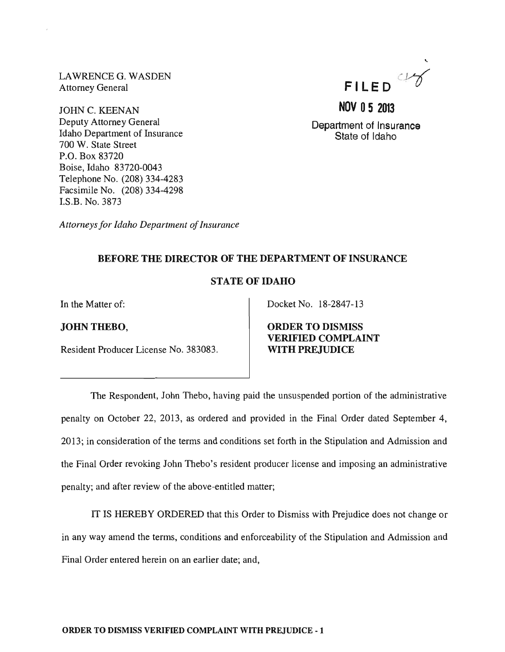LAWRENCE G. WASDEN Attorney General

 $\bar{z}$ 

JOHN C. KEENAN Deputy Attorney General Idaho Department of Insurance 700 W. State Street P.O. Box 83720 Boise, Idaho 83720-0043 Telephone No. (208) 334-4283 Facsimile No. (208) 334-4298 I.S.B. No. 3873

*Attorneys for Idaho Department of Insurance* 

## BEFORE THE DIRECTOR OF THE DEPARTMENT OF INSURANCE

## STATE OF IDAHO

In the Matter of:

JOHNTHEBO,

Resident Producer License No. 383083.

Docket No. 18-2847-13

ORDER TO DISMISS VERIFIED COMPLAINT WITH PREJUDICE

The Respondent, John Thebo, having paid the unsuspended portion of the administrative penalty on October 22, 2013, as ordered and provided in the Final Order dated September 4, 2013; in consideration of the terms and conditions set forth in the Stipulation and Admission and the Final Order revoking John Thebo's resident producer license and imposing an administrative penalty; and after review of the above-entitled matter;

IT IS HEREBY ORDERED that this Order to Dismiss with Prejudice does not change or in any way amend the terms, conditions and enforceability of the Stipulation and Admission and Final Order entered herein on an earlier date; and,



Department of Insurance State of Idaho

**NOV 05 2013**